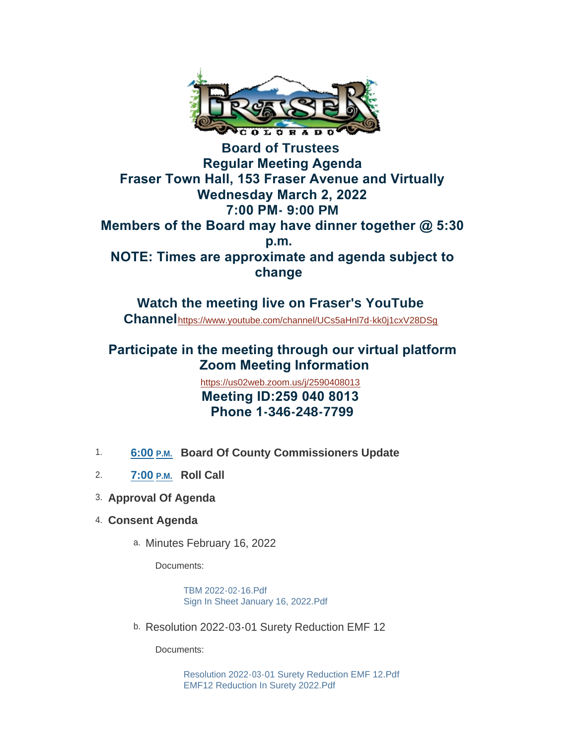

**Board of Trustees Regular Meeting Agenda Fraser Town Hall, 153 Fraser Avenue and Virtually Wednesday March 2, 2022 7:00 PM- 9:00 PM Members of the Board may have dinner together @ 5:30 p.m. NOTE: Times are approximate and agenda subject to change** 

**Watch the meeting live on Fraser's YouTube Channel**<https://www.youtube.com/channel/UCs5aHnl7d-kk0j1cxV28DSg>

## **Participate in the meeting through our virtual platform Zoom Meeting Information**

<https://us02web.zoom.us/j/2590408013>  **Meeting ID:259 040 8013 Phone 1-346-248-7799**

- 1. 6:00 **P.M.** Board Of County Commissioners Update
- **Roll Call** 2. **7:00 P.M.**
- **Approval Of Agenda** 3.
- **Consent Agenda** 4.
	- a. Minutes February 16, 2022

Documents:

[TBM 2022-02-16.Pdf](https://www.frasercolorado.com/AgendaCenter/ViewFile/Item/3828?fileID=3478) [Sign In Sheet January 16, 2022.Pdf](https://www.frasercolorado.com/AgendaCenter/ViewFile/Item/3828?fileID=3468)

b. Resolution 2022-03-01 Surety Reduction EMF 12

Documents:

[Resolution 2022-03-01 Surety Reduction EMF 12.Pdf](https://www.frasercolorado.com/AgendaCenter/ViewFile/Item/3881?fileID=3481) [EMF12 Reduction In Surety 2022.Pdf](https://www.frasercolorado.com/AgendaCenter/ViewFile/Item/3881?fileID=3482)